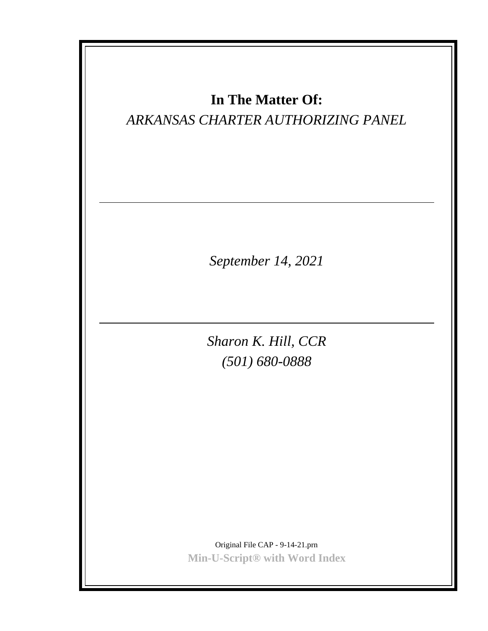| In The Matter Of:<br>ARKANSAS CHARTER AUTHORIZING PANEL                      |
|------------------------------------------------------------------------------|
| September 14, 2021                                                           |
| Sharon K. Hill, CCR<br>$(501) 680 - 0888$                                    |
| Original File CAP - 9-14-21.prn<br>Min-U-Script <sup>®</sup> with Word Index |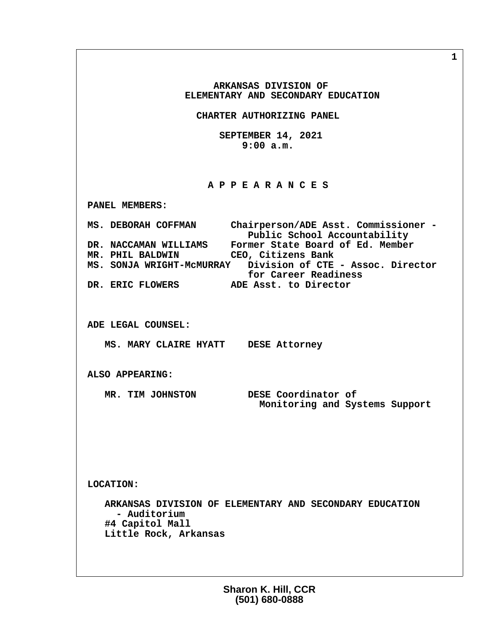**ARKANSAS DIVISION OF ELEMENTARY AND SECONDARY EDUCATION CHARTER AUTHORIZING PANEL SEPTEMBER 14, 2021 9:00 a.m. A P P E A R A N C E S PANEL MEMBERS: MS. DEBORAH COFFMAN Chairperson/ADE Asst. Commissioner -** Public School Accountability<br>DR. NACCAMAN WILLIAMS Former State Board of Ed. Member  **DR. NACCAMAN WILLIAMS Former State Board of Ed. Member MR. PHIL BALDWIN CEO, Citizens Bank MS. SONJA WRIGHT-McMURRAY Division of CTE - Assoc. Director for Career Readiness<br>DR. ERIC FLOWERS ADE Asst. to Director ADE Asst. to Director ADE LEGAL COUNSEL: MS. MARY CLAIRE HYATT DESE Attorney ALSO APPEARING: MR. TIM JOHNSTON DESE Coordinator of Monitoring and Systems Support LOCATION: ARKANSAS DIVISION OF ELEMENTARY AND SECONDARY EDUCATION - Auditorium #4 Capitol Mall Little Rock, Arkansas**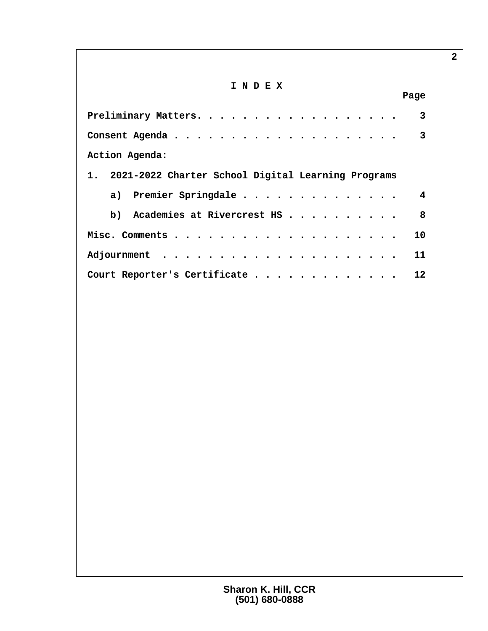# **I N D E X**

|                                                            | Page            |
|------------------------------------------------------------|-----------------|
| Preliminary Matters.                                       |                 |
|                                                            |                 |
| Action Agenda:                                             |                 |
| 1. 2021-2022 Charter School Digital Learning Programs      |                 |
| a) Premier Springdale                                      |                 |
| b) Academies at Rivercrest HS $\ldots$ $\ldots$ $\ldots$ . | 8               |
|                                                            | 10              |
|                                                            | 11              |
| Court Reporter's Certificate                               | 12 <sup>°</sup> |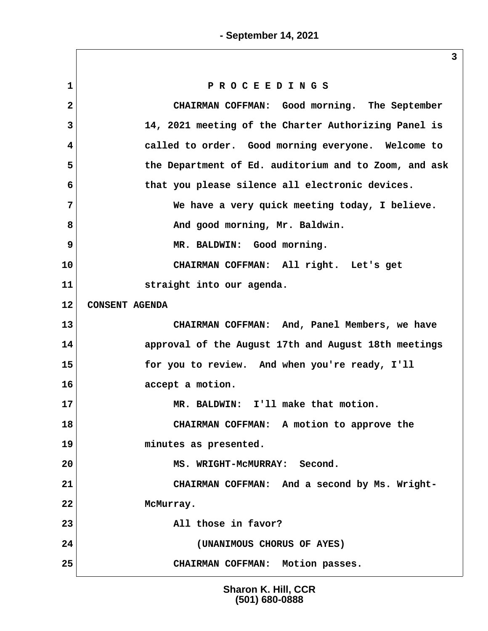**1 P R O C E E D I N G S 2 CHAIRMAN COFFMAN: Good morning. The September 3 14, 2021 meeting of the Charter Authorizing Panel is 4 called to order. Good morning everyone. Welcome to 5 the Department of Ed. auditorium and to Zoom, and ask 6 that you please silence all electronic devices. 7 We have a very quick meeting today, I believe.** 8 And good morning, Mr. Baldwin.  **9 MR. BALDWIN: Good morning. 10 CHAIRMAN COFFMAN: All right. Let's get 11 straight into our agenda. 12 CONSENT AGENDA 13 CHAIRMAN COFFMAN: And, Panel Members, we have 14 approval of the August 17th and August 18th meetings 15 for you to review. And when you're ready, I'll 16 accept a motion. 17 MR. BALDWIN: I'll make that motion. 18 CHAIRMAN COFFMAN: A motion to approve the 19 minutes as presented. 20 MS. WRIGHT-McMURRAY: Second. 21 CHAIRMAN COFFMAN: And a second by Ms. Wright-22 McMurray. 23 All those in favor? 24 (UNANIMOUS CHORUS OF AYES) 25 CHAIRMAN COFFMAN: Motion passes.**

> **Sharon K. Hill, CCR (501) 680-0888**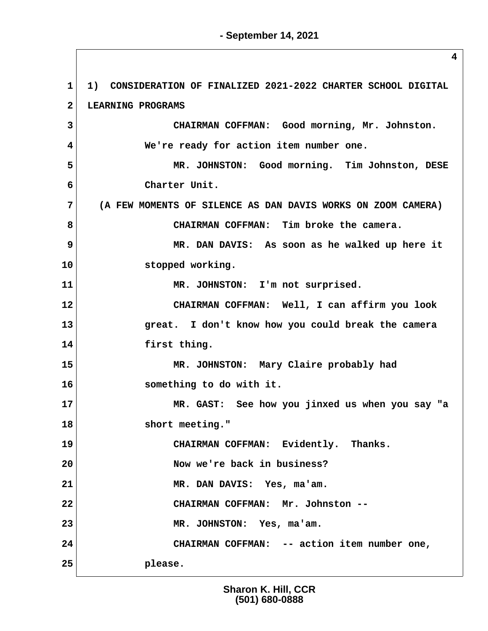**1 1) CONSIDERATION OF FINALIZED 2021-2022 CHARTER SCHOOL DIGITAL 2 LEARNING PROGRAMS 3 CHAIRMAN COFFMAN: Good morning, Mr. Johnston. 4 We're ready for action item number one. 5 MR. JOHNSTON: Good morning. Tim Johnston, DESE 6 Charter Unit. 7 (A FEW MOMENTS OF SILENCE AS DAN DAVIS WORKS ON ZOOM CAMERA) 8 CHAIRMAN COFFMAN: Tim broke the camera. 9 MR. DAN DAVIS: As soon as he walked up here it 10 stopped working. 11 MR. JOHNSTON: I'm not surprised. 12 CHAIRMAN COFFMAN: Well, I can affirm you look 13 great. I don't know how you could break the camera 14 first thing. 15 MR. JOHNSTON: Mary Claire probably had 16 something to do with it. 17 MR. GAST: See how you jinxed us when you say "a 18 short meeting." 19 CHAIRMAN COFFMAN: Evidently. Thanks. 20 Now we're back in business? 21 MR. DAN DAVIS: Yes, ma'am. 22 CHAIRMAN COFFMAN: Mr. Johnston -- 23 MR. JOHNSTON: Yes, ma'am. 24 CHAIRMAN COFFMAN: -- action item number one, 25 please.**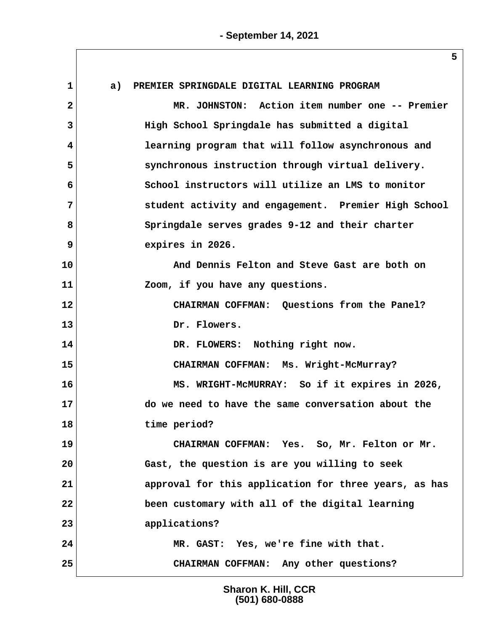**1 a) PREMIER SPRINGDALE DIGITAL LEARNING PROGRAM 2 MR. JOHNSTON: Action item number one -- Premier 3 High School Springdale has submitted a digital 4 learning program that will follow asynchronous and 5 synchronous instruction through virtual delivery. 6 School instructors will utilize an LMS to monitor 7 student activity and engagement. Premier High School 8 Springdale serves grades 9-12 and their charter 9 expires in 2026. 10 And Dennis Felton and Steve Gast are both on 11 Zoom, if you have any questions. 12 CHAIRMAN COFFMAN: Questions from the Panel? 13 Dr. Flowers. 14 DR. FLOWERS: Nothing right now. 15 CHAIRMAN COFFMAN: Ms. Wright-McMurray? 16 MS. WRIGHT-McMURRAY: So if it expires in 2026, 17 do we need to have the same conversation about the 18 time period? 19 CHAIRMAN COFFMAN: Yes. So, Mr. Felton or Mr. 20 Gast, the question is are you willing to seek 21 approval for this application for three years, as has 22 been customary with all of the digital learning 23 applications? 24 MR. GAST: Yes, we're fine with that. 25 CHAIRMAN COFFMAN: Any other questions?**

> **Sharon K. Hill, CCR (501) 680-0888**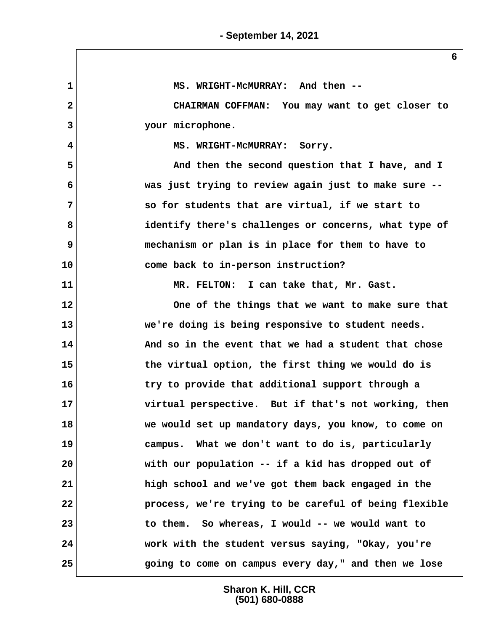**1 MS. WRIGHT-McMURRAY: And then -- 2 CHAIRMAN COFFMAN: You may want to get closer to 3 your microphone. 4 MS. WRIGHT-McMURRAY: Sorry. 5 And then the second question that I have, and I 6 was just trying to review again just to make sure -- 7 so for students that are virtual, if we start to 8 identify there's challenges or concerns, what type of 9 mechanism or plan is in place for them to have to 10 come back to in-person instruction? 11 MR. FELTON: I can take that, Mr. Gast. 12 One of the things that we want to make sure that 13 we're doing is being responsive to student needs. 14 And so in the event that we had a student that chose 15 the virtual option, the first thing we would do is 16 try to provide that additional support through a 17 virtual perspective. But if that's not working, then 18 we would set up mandatory days, you know, to come on 19 campus. What we don't want to do is, particularly 20 with our population -- if a kid has dropped out of 21 high school and we've got them back engaged in the 22 process, we're trying to be careful of being flexible 23 to them. So whereas, I would -- we would want to 24 work with the student versus saying, "Okay, you're 25 going to come on campus every day," and then we lose**

> **Sharon K. Hill, CCR (501) 680-0888**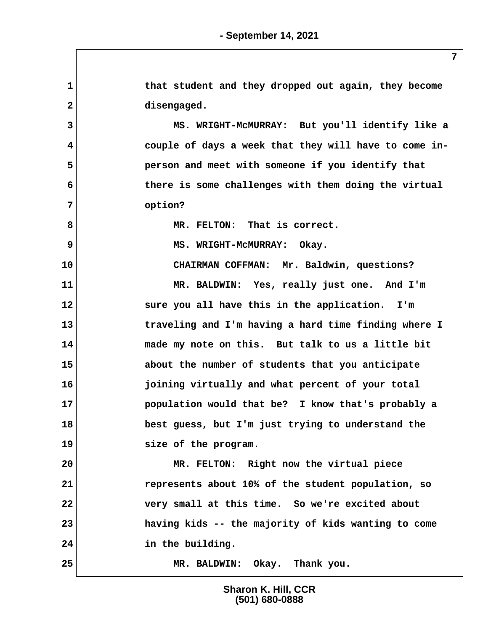**1 that student and they dropped out again, they become 2 disengaged. 3 MS. WRIGHT-McMURRAY: But you'll identify like a 4 couple of days a week that they will have to come in- 5 person and meet with someone if you identify that 6 there is some challenges with them doing the virtual 7 option? 8 MR. FELTON: That is correct. 9** MS. WRIGHT-MCMURRAY: Okay. **10 CHAIRMAN COFFMAN: Mr. Baldwin, questions? 11 MR. BALDWIN: Yes, really just one. And I'm 12 sure you all have this in the application. I'm 13 traveling and I'm having a hard time finding where I 14 made my note on this. But talk to us a little bit 15 about the number of students that you anticipate 16 joining virtually and what percent of your total 17 population would that be? I know that's probably a 18 best guess, but I'm just trying to understand the 19 size of the program. 20 MR. FELTON: Right now the virtual piece 21 represents about 10% of the student population, so 22 very small at this time. So we're excited about 23 having kids -- the majority of kids wanting to come 24 in the building. 25 MR. BALDWIN: Okay. Thank you.**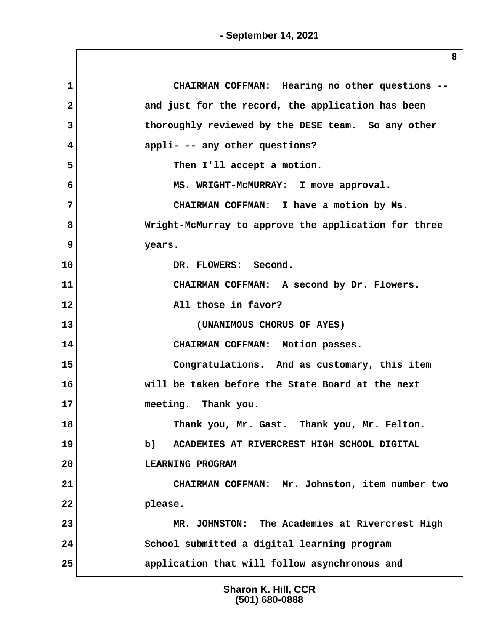| 1            | CHAIRMAN COFFMAN: Hearing no other questions --      |
|--------------|------------------------------------------------------|
| $\mathbf{2}$ | and just for the record, the application has been    |
| 3            | thoroughly reviewed by the DESE team. So any other   |
| 4            | appli- -- any other questions?                       |
| 5            | Then I'll accept a motion.                           |
| 6            | MS. WRIGHT-MCMURRAY: I move approval.                |
| 7            | CHAIRMAN COFFMAN: I have a motion by Ms.             |
| 8            | Wright-McMurray to approve the application for three |
| 9            | years.                                               |
| 10           | DR. FLOWERS: Second.                                 |
| 11           | CHAIRMAN COFFMAN: A second by Dr. Flowers.           |
| 12           | All those in favor?                                  |
| 13           | (UNANIMOUS CHORUS OF AYES)                           |
| 14           | CHAIRMAN COFFMAN: Motion passes.                     |
| 15           | Congratulations. And as customary, this item         |
| 16           | will be taken before the State Board at the next     |
| 17           | meeting. Thank you.                                  |
| 18           | Thank you, Mr. Gast. Thank you, Mr. Felton.          |
| 19           | b)<br>ACADEMIES AT RIVERCREST HIGH SCHOOL DIGITAL    |
| 20           | LEARNING PROGRAM                                     |
| 21           | CHAIRMAN COFFMAN: Mr. Johnston, item number two      |
| 22           | please.                                              |
| 23           | MR. JOHNSTON: The Academies at Rivercrest High       |
| 24           | School submitted a digital learning program          |
| 25           | application that will follow asynchronous and        |
|              |                                                      |

**Sharon K. Hill, CCR (501) 680-0888**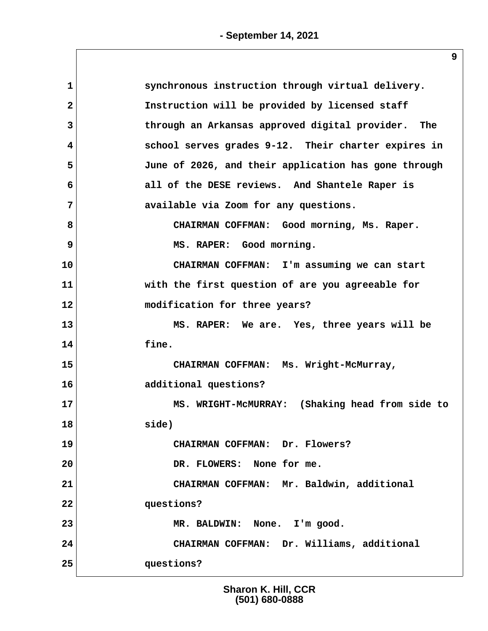| $\mathbf 1$  | synchronous instruction through virtual delivery.    |
|--------------|------------------------------------------------------|
| $\mathbf{2}$ | Instruction will be provided by licensed staff       |
| 3            | through an Arkansas approved digital provider. The   |
| 4            | school serves grades 9-12. Their charter expires in  |
| 5            | June of 2026, and their application has gone through |
| 6            | all of the DESE reviews. And Shantele Raper is       |
| 7            | available via Zoom for any questions.                |
| 8            | CHAIRMAN COFFMAN: Good morning, Ms. Raper.           |
| 9            | MS. RAPER: Good morning.                             |
| 10           | CHAIRMAN COFFMAN: I'm assuming we can start          |
| 11           | with the first question of are you agreeable for     |
| 12           | modification for three years?                        |
| 13           | MS. RAPER: We are. Yes, three years will be          |
| 14           | fine.                                                |
| 15           | CHAIRMAN COFFMAN: Ms. Wright-McMurray,               |
| 16           | additional questions?                                |
| 17           | MS. WRIGHT-MCMURRAY: (Shaking head from side to      |
| 18           | side)                                                |
| 19           | CHAIRMAN COFFMAN: Dr. Flowers?                       |
| 20           | DR. FLOWERS: None for me.                            |
| 21           | CHAIRMAN COFFMAN: Mr. Baldwin, additional            |
| 22           | questions?                                           |
| 23           | MR. BALDWIN: None. I'm good.                         |
| 24           | CHAIRMAN COFFMAN: Dr. Williams, additional           |
| 25           | questions?                                           |
|              |                                                      |

**Sharon K. Hill, CCR (501) 680-0888**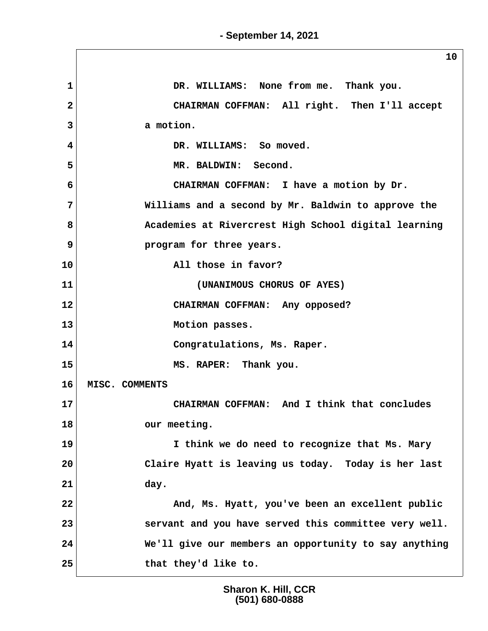$\sqrt{2}$ 

|                | ᅩ∪                                                    |
|----------------|-------------------------------------------------------|
| $\mathbf{1}$   | DR. WILLIAMS: None from me. Thank you.                |
| $\overline{2}$ | CHAIRMAN COFFMAN: All right. Then I'll accept         |
| 3              | a motion.                                             |
| 4              | DR. WILLIAMS: So moved.                               |
| 5              | MR. BALDWIN: Second.                                  |
| 6              | CHAIRMAN COFFMAN: I have a motion by Dr.              |
| 7              | Williams and a second by Mr. Baldwin to approve the   |
| 8              | Academies at Rivercrest High School digital learning  |
| $\overline{9}$ | program for three years.                              |
| 10             | All those in favor?                                   |
| 11             | (UNANIMOUS CHORUS OF AYES)                            |
| 12             | CHAIRMAN COFFMAN: Any opposed?                        |
| 13             | Motion passes.                                        |
| 14             | Congratulations, Ms. Raper.                           |
| 15             | MS. RAPER: Thank you.                                 |
| 16             | MISC. COMMENTS                                        |
| 17             | CHAIRMAN COFFMAN: And I think that concludes          |
| 18             | our meeting.                                          |
| 19             | I think we do need to recognize that Ms. Mary         |
| 20             | Claire Hyatt is leaving us today. Today is her last   |
| 21             | day.                                                  |
| 22             | And, Ms. Hyatt, you've been an excellent public       |
| 23             | servant and you have served this committee very well. |
| 24             | We'll give our members an opportunity to say anything |
| 25             | that they'd like to.                                  |

**Sharon K. Hill, CCR (501) 680-0888**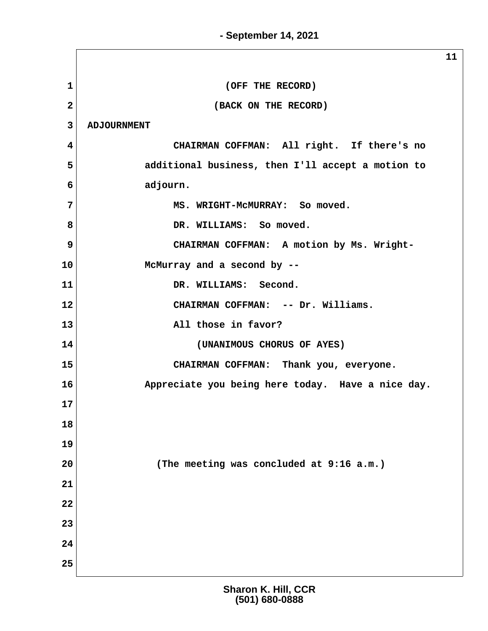**1** (OFF THE RECORD) **2** (BACK ON THE RECORD)  **3 ADJOURNMENT 4 CHAIRMAN COFFMAN: All right. If there's no 5 additional business, then I'll accept a motion to 6 adjourn. 7 MS. WRIGHT-McMURRAY: So moved.** 8 BR. WILLIAMS: So moved. 9 CHAIRMAN COFFMAN: A motion by Ms. Wright-**10 McMurray and a second by -- 11 DR. WILLIAMS: Second. 12 CHAIRMAN COFFMAN: -- Dr. Williams. 13 All those in favor? 14 (UNANIMOUS CHORUS OF AYES) 15 CHAIRMAN COFFMAN: Thank you, everyone. 16 Appreciate you being here today. Have a nice day. 17 18 19 20 (The meeting was concluded at 9:16 a.m.) 21 22 23 24 25**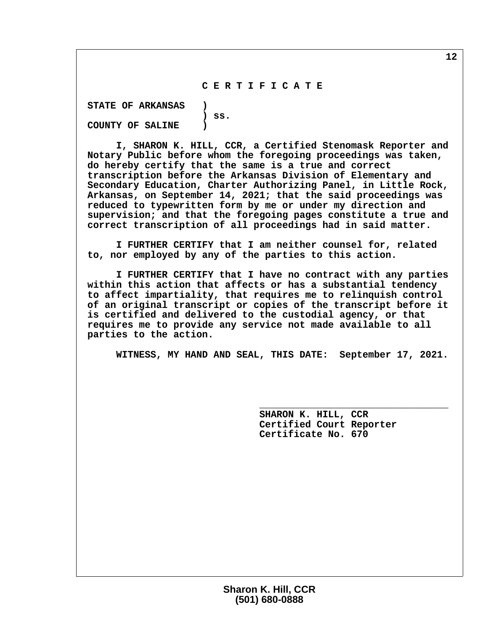### **C E R T I F I C A T E**

 **STATE OF ARKANSAS ) ) ss. COUNTY OF SALINE )**

 **I, SHARON K. HILL, CCR, a Certified Stenomask Reporter and Notary Public before whom the foregoing proceedings was taken, do hereby certify that the same is a true and correct transcription before the Arkansas Division of Elementary and Secondary Education, Charter Authorizing Panel, in Little Rock, Arkansas, on September 14, 2021; that the said proceedings was reduced to typewritten form by me or under my direction and supervision; and that the foregoing pages constitute a true and correct transcription of all proceedings had in said matter.**

 **I FURTHER CERTIFY that I am neither counsel for, related to, nor employed by any of the parties to this action.**

 **I FURTHER CERTIFY that I have no contract with any parties within this action that affects or has a substantial tendency to affect impartiality, that requires me to relinquish control of an original transcript or copies of the transcript before it is certified and delivered to the custodial agency, or that requires me to provide any service not made available to all parties to the action.**

 **WITNESS, MY HAND AND SEAL, THIS DATE: September 17, 2021.**

 **\_\_\_\_\_\_\_\_\_\_\_\_\_\_\_\_\_\_\_\_\_\_\_\_\_\_\_\_\_\_\_\_\_**

 **SHARON K. HILL, CCR Certified Court Reporter Certificate No. 670**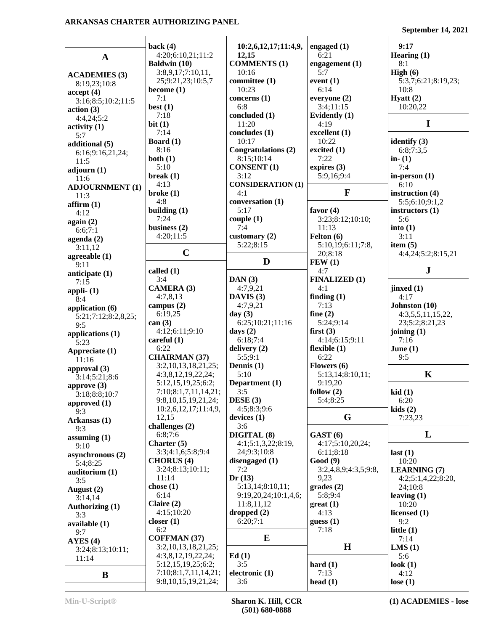### **ARKANSAS CHARTER AUTHORIZING PANEL**

**September 14, 2021**

| $\mathbf A$                          | back $(4)$<br>4:20;6:10,21;11:2<br>Baldwin (10)  | 10:2,6,12,17;11:4,9,<br>12,15<br><b>COMMENTS (1)</b> | engaged $(1)$<br>6:21<br>engagement (1) | 9:17<br>Hearing (1)<br>8:1 |
|--------------------------------------|--------------------------------------------------|------------------------------------------------------|-----------------------------------------|----------------------------|
|                                      | 3:8,9,17;7:10,11,                                | 10:16                                                | 5:7                                     | High $(6)$                 |
| <b>ACADEMIES (3)</b><br>8:19,23;10:8 | 25;9:21,23;10:5,7                                | committee (1)                                        | event $(1)$                             | 5:3,7;6:21;8:19,23;        |
| accept(4)                            | become $(1)$                                     | 10:23                                                | 6:14                                    | 10:8                       |
| 3:16;8:5;10:2;11:5                   | 7:1                                              | concerns $(1)$                                       | everyone (2)                            | Hyatt $(2)$                |
| action(3)                            | best $(1)$                                       | 6:8                                                  | 3:4;11:15                               | 10:20,22                   |
| 4:4,24;5:2                           | 7:18                                             | concluded (1)                                        | Evidently (1)                           |                            |
| activity <sub>(1)</sub>              | bit(1)<br>7:14                                   | 11:20                                                | 4:19                                    | I                          |
| 5:7                                  | Board $(1)$                                      | concludes (1)<br>10:17                               | excellent (1)<br>10:22                  | identify $(3)$             |
| additional (5)                       | 8:16                                             | Congratulations (2)                                  | excited (1)                             | 6:8;7:3,5                  |
| 6:16;9:16,21,24;                     | both $(1)$                                       | 8:15;10:14                                           | 7:22                                    | in- $(1)$                  |
| 11:5<br>adjourn $(1)$                | 5:10                                             | <b>CONSENT</b> (1)                                   | expires (3)                             | 7:4                        |
| 11:6                                 | break(1)                                         | 3:12                                                 | 5:9,16;9:4                              | in-person $(1)$            |
| <b>ADJOURNMENT (1)</b>               | 4:13                                             | <b>CONSIDERATION (1)</b>                             |                                         | 6:10                       |
| 11:3                                 | broke(1)                                         | 4:1                                                  | $\mathbf{F}$                            | instruction (4)            |
| affirm(1)                            | 4:8                                              | conversation (1)                                     |                                         | 5:5;6:10;9:1,2             |
| 4:12                                 | building $(1)$                                   | 5:17                                                 | favor $(4)$                             | instructors (1)            |
| again (2)                            | 7:24                                             | couple(1)                                            | 3:23;8:12;10:10;                        | 5:6                        |
| 6:6;7:1                              | business $(2)$<br>4:20;11:5                      | 7:4<br>customary $(2)$                               | 11:13                                   | into(1)<br>3:11            |
| agenda (2)                           |                                                  | 5:22;8:15                                            | Felton $(6)$<br>5:10,19;6:11;7:8,       | item $(5)$                 |
| 3:11,12                              | $\mathbf C$                                      |                                                      | 20;8:18                                 | 4:4,24;5:2;8:15,21         |
| agreeable (1)                        |                                                  | D                                                    | FEW(1)                                  |                            |
| 9:11<br>anticipate (1)               | called (1)                                       |                                                      | 4:7                                     | ${\bf J}$                  |
| 7:15                                 | 3:4                                              | DAN(3)                                               | <b>FINALIZED (1)</b>                    |                            |
| appli- $(1)$                         | <b>CAMERA (3)</b>                                | 4:7,9,21                                             | 4:1                                     | jinxed (1)                 |
| 8:4                                  | 4:7,8,13                                         | DAVIS $(3)$                                          | finding $(1)$                           | 4:17                       |
| application (6)                      | campus $(2)$                                     | 4:7,9,21                                             | 7:13                                    | Johnston (10)              |
| 5:21;7:12;8:2,8,25;                  | 6:19,25                                          | day $(3)$                                            | fine $(2)$                              | 4:3,5,5,11,15,22,          |
| 9:5                                  | can (3)                                          | 6:25;10:21;11:16                                     | 5:24;9:14                               | 23;5:2;8:21,23             |
| applications (1)                     | 4:12;6:11;9:10                                   | days $(2)$                                           | first $(3)$                             | joining $(1)$              |
| 5:23                                 | careful $(1)$<br>6:22                            | 6:18;7:4                                             | 4:14:6:15:9:11                          | 7:16                       |
| Appreciate (1)                       | <b>CHAIRMAN (37)</b>                             | delivery $(2)$<br>5:5;9:1                            | flexible $(1)$<br>6:22                  | June $(1)$<br>9:5          |
| 11:16                                | 3:2,10,13,18,21,25;                              | Dennis (1)                                           | Flowers $(6)$                           |                            |
| approval (3)                         | 4:3,8,12,19,22,24;                               | 5:10                                                 | 5:13,14;8:10,11;                        | $\mathbf K$                |
| 3:14;5:21;8:6                        | 5:12,15,19,25;6:2;                               | Department (1)                                       | 9:19,20                                 |                            |
| approve $(3)$<br>3:18;8:8;10:7       | 7:10;8:1,7,11,14,21;                             | 3:5                                                  | follow $(2)$                            | kid(1)                     |
| approved (1)                         | 9:8, 10, 15, 19, 21, 24;                         | DESE(3)                                              | 5:4:8:25                                | 6:20                       |
| 9:3                                  | 10:2,6,12,17;11:4,9,                             | 4:5;8:3;9:6                                          |                                         | kids(2)                    |
| Arkansas (1)                         | 12,15                                            | devices $(1)$                                        | G                                       | 7:23,23                    |
| 9:3                                  | challenges (2)                                   | 3:6                                                  |                                         |                            |
| assuming $(1)$                       | 6:8;7:6                                          | DIGITAL (8)                                          | GAST <sub>(6)</sub>                     | L                          |
| 9:10                                 | Charter (5)<br>3:3;4:1,6;5:8;9:4                 | 4:1;5:1,3,22;8:19,                                   | 4:17;5:10,20,24;                        |                            |
| asynchronous (2)                     | <b>CHORUS</b> (4)                                | 24;9:3;10:8<br>disengaged (1)                        | 6:11;8:18<br>Good (9)                   | last $(1)$<br>10:20        |
| 5:4;8:25                             | 3:24;8:13;10:11;                                 | 7:2                                                  | 3:2,4,8,9;4:3,5;9:8,                    | <b>LEARNING (7)</b>        |
| auditorium (1)<br>3:5                | 11:14                                            | Dr(13)                                               | 9,23                                    | 4:2;5:1,4,22;8:20,         |
| August (2)                           | chose $(1)$                                      | 5:13,14;8:10,11;                                     | grades(2)                               | 24;10:8                    |
| 3:14,14                              | 6:14                                             | 9:19,20,24;10:1,4,6;                                 | 5:8;9:4                                 | leaving $(1)$              |
| Authorizing (1)                      | Claire $(2)$                                     | 11:8,11,12                                           | $gr(1)$                                 | 10:20                      |
| 3:3                                  | 4:15;10:20                                       | dropped(2)                                           | 4:13                                    | licensed (1)               |
|                                      |                                                  |                                                      | guess(1)                                | 9:2                        |
|                                      | closer $(1)$                                     | 6:20;7:1                                             |                                         |                            |
| available (1)<br>9:7                 | 6:2                                              |                                                      | 7:18                                    | little $(1)$               |
| AYES(4)                              | <b>COFFMAN (37)</b>                              | ${\bf E}$                                            |                                         | 7:14                       |
| 3:24;8:13;10:11;                     | 3:2,10,13,18,21,25;                              |                                                      | H                                       | LMS(1)                     |
| 11:14                                | 4:3,8,12,19,22,24;                               | Ed(1)                                                |                                         | 5:6                        |
|                                      | 5:12,15,19,25;6:2;                               | 3:5                                                  | hard $(1)$                              | look $(1)$                 |
| B                                    | 7:10;8:1,7,11,14,21;<br>9:8, 10, 15, 19, 21, 24; | electronic (1)<br>3:6                                | 7:13<br>head $(1)$                      | 4:12<br>lose $(1)$         |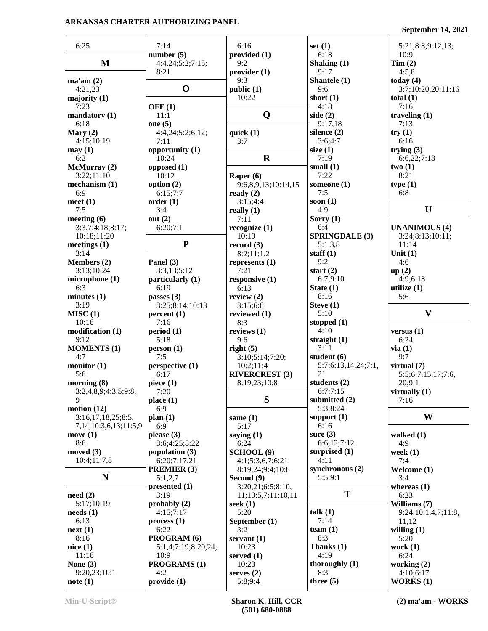### **ARKANSAS CHARTER AUTHORIZING PANEL**

**September 14, 2021**

| 6:25                           | 7:14                             | 6:16                  | set $(1)$             | 5:21;8:8;9:12,13;    |
|--------------------------------|----------------------------------|-----------------------|-----------------------|----------------------|
|                                | number $(5)$                     | provided (1)          | 6:18                  | 10:9                 |
| $\mathbf{M}$                   | 4:4,24;5:2;7:15;                 | 9:2                   | Shaking (1)           | Tim(2)               |
|                                | 8:21                             | provider (1)          | 9:17                  | 4:5,8                |
| ma'am(2)                       |                                  | 9:3                   | Shantele (1)          | today $(4)$          |
| 4:21,23                        | $\mathbf 0$                      | public (1)            | 9:6                   | 3:7;10:20,20;11:16   |
| majority $(1)$                 |                                  | 10:22                 | short $(1)$           | total $(1)$          |
| 7:23                           | OFF $(1)$                        |                       | 4:18                  | 7:16                 |
| mandatory $(1)$                | 11:1                             | Q                     | side $(2)$            | traveling $(1)$      |
| 6:18                           | one $(5)$                        |                       | 9:17,18               | 7:13                 |
| Mary $(2)$                     | 4:4,24;5:2;6:12;                 | quick $(1)$           | silence $(2)$         | try(1)               |
| 4:15;10:19                     | 7:11                             | 3:7                   | 3:6:4:7               | 6:16                 |
| may(1)                         | opportunity (1)                  |                       | size $(1)$            | trying $(3)$         |
| 6:2                            | 10:24                            | $\mathbf R$           | 7:19                  | 6:6,22;7:18          |
| McMurray (2)                   | opposed (1)                      |                       | small $(1)$           | two(1)               |
| 3:22;11:10                     | 10:12                            | Raper $(6)$           | 7:22                  | 8:21                 |
| mechanism $(1)$                | option $(2)$                     |                       | someone $(1)$         | type(1)              |
| 6:9                            |                                  | 9:6,8,9,13;10:14,15   | 7:5                   | 6:8                  |
|                                | 6:15;7:7                         | ready $(2)$           |                       |                      |
| meet $(1)$                     | order(1)                         | 3:15;4:4              | soon $(1)$            |                      |
| 7:5                            | 3:4                              | really $(1)$          | 4:9                   | $\mathbf U$          |
| meeting $(6)$                  | out $(2)$                        | 7:11                  | Sorry $(1)$           |                      |
| 3:3,7;4:18;8:17;               | 6:20;7:1                         | recognize $(1)$       | 6:4                   | <b>UNANIMOUS (4)</b> |
| 10:18;11:20                    |                                  | 10:19                 | <b>SPRINGDALE (3)</b> | 3:24;8:13;10:11;     |
| meetings $(1)$                 | ${\bf P}$                        | record $(3)$          | 5:1,3,8               | 11:14                |
| 3:14                           |                                  | 8:2;11:1,2            | staff $(1)$           | Unit $(1)$           |
| Members (2)                    | Panel (3)                        | represents $(1)$      | 9:2                   | 4:6                  |
| 3:13;10:24                     | 3:3,13;5:12                      | 7:21                  | start $(2)$           | up(2)                |
| microphone(1)                  | particularly (1)                 | responsive $(1)$      | 6:7;9:10              | 4:9;6:18             |
| 6:3                            | 6:19                             | 6:13                  | State $(1)$           | utilize $(1)$        |
| minutes $(1)$                  | passes $(3)$                     | review $(2)$          | 8:16                  | 5:6                  |
| 3:19                           | 3:25;8:14;10:13                  | 3:15;6:6              | Steve $(1)$           |                      |
| MISC(1)                        | percent(1)                       | reviewed $(1)$        | 5:10                  | $\mathbf{V}$         |
| 10:16                          | 7:16                             | 8:3                   | stopped $(1)$         |                      |
| modification (1)               | period(1)                        | reviews $(1)$         | 4:10                  | versus $(1)$         |
| 9:12                           | 5:18                             | 9:6                   | straight $(1)$        | 6:24                 |
| <b>MOMENTS (1)</b>             | person(1)                        | right(5)              | 3:11                  | via(1)               |
| 4:7                            | 7:5                              | 3:10;5:14;7:20;       | student (6)           | 9:7                  |
| monitor $(1)$                  | perspective (1)                  | 10:2;11:4             | 5:7;6:13,14,24;7:1,   | virtual $(7)$        |
| 5:6                            | 6:17                             | <b>RIVERCREST (3)</b> | 21                    | 5:5;6:7,15,17;7:6,   |
| morning $(8)$                  | piece $(1)$                      | 8:19,23;10:8          | students $(2)$        | 20;9:1               |
| 3:2,4,8,9;4:3,5;9:8,           | 7:20                             |                       | 6:7;7:15              | virtually $(1)$      |
| 9                              | place(1)                         | S                     | submitted (2)         | 7:16                 |
| motion $(12)$                  | 6:9                              |                       | 5:3;8:24              |                      |
| 3:16,17,18,25;8:5,             | plan(1)                          |                       | support $(1)$         | W                    |
| 7,14;10:3,6,13;11:5,9          | 6:9                              | same $(1)$<br>5:17    | 6:16                  |                      |
| move $(1)$                     | please $(3)$                     |                       | sure $(3)$            | walked $(1)$         |
| 8:6                            | 3:6;4:25;8:22                    | saying $(1)$<br>6:24  | 6:6,12;7:12           | 4:9                  |
| moved $(3)$                    |                                  |                       | surprised $(1)$       |                      |
|                                | population $(3)$<br>6:20;7:17,21 | SCHOOL (9)            | 4:11                  | week $(1)$           |
| 10:4;11:7,8                    | PREMIER (3)                      | 4:1;5:3,6,7;6:21;     | synchronous $(2)$     | 7:4                  |
| N                              |                                  | 8:19,24;9:4;10:8      | 5:5;9:1               | Welcome (1)          |
|                                | 5:1,2,7                          | Second (9)            |                       | 3:4                  |
|                                | presented (1)                    | 3:20,21;6:5;8:10,     | T                     | whereas $(1)$        |
| need(2)                        | 3:19                             | 11;10:5,7;11:10,11    |                       | 6:23                 |
| 5:17;10:19                     | probably $(2)$                   | seek $(1)$            |                       | Williams (7)         |
| $\boldsymbol{\text{needs}}(1)$ | 4:15;7:17                        | 5:20                  | talk $(1)$            | 9:24;10:1,4,7;11:8,  |
| 6:13                           | process(1)                       | September (1)         | 7:14                  | 11,12                |
| next(1)                        | 6:22                             | 3:2                   | team $(1)$            | willing $(1)$        |
| 8:16                           | PROGRAM (6)                      | servant $(1)$         | 8:3                   | 5:20                 |
| nice(1)                        | 5:1,4;7:19;8:20,24;              | 10:23                 | Thanks $(1)$          | work $(1)$           |
| 11:16                          | 10:9                             | served $(1)$          | 4:19                  | 6:24                 |
| None $(3)$                     | <b>PROGRAMS (1)</b>              | 10:23                 | thoroughly $(1)$      | working $(2)$        |
| 9:20,23;10:1                   | 4:2                              | serves $(2)$          | 8:3                   | 4:10;6:17            |
| note(1)                        | provide (1)                      | 5:8;9:4               | three $(5)$           | <b>WORKS</b> (1)     |